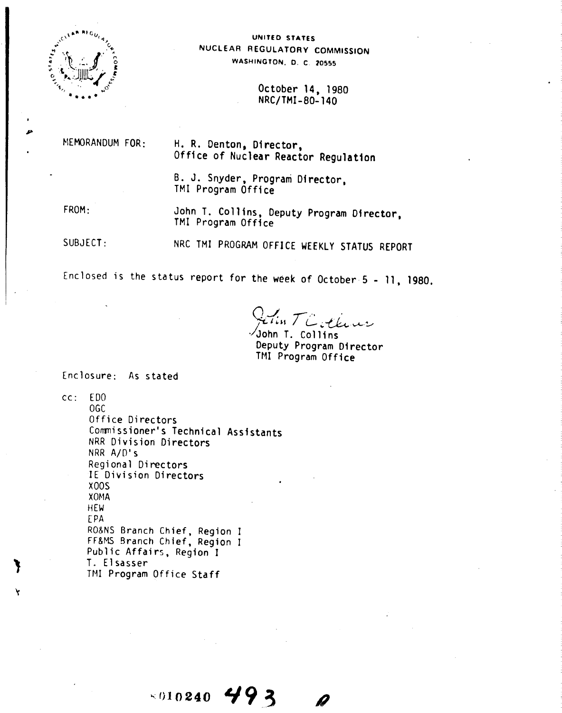

### UNITED STATES NUCLEAR REGULATORY COMMISSION WASHINGTON, D. C. 20555

October 14, 1980 NRC/TMI-80-140

MEMORANDUM FOR:

H. R. Denton, Director, Office of Nuclear Reactor Regulation

B. J. Snyder, Program Director, TMI Program Office

FROM:

John T. Collins, Deputy Program Director, TMI Program Office

SUBJECT:

NRC TMI PROGRAM OFFICE WEEKLY STATUS REPORT

Enclosed is the status report for the week of October 5 - 11, 1980.

In TC others

John T. Collins Deputy Program Director TMI Program Office

Enclosure: As stated

 $CC:$ E<sub>DO</sub>

 $06C$ Office Directors Commissioner's Technical Assistants NRR Division Directors NRR A/D's Regional Directors IE Division Directors  $X00S$ **XOMA HEW** EPA RO&NS Branch Chief, Region I FF&MS Branch Chief, Region I Public Affairs, Region I T. Elsasser TMI Program Office Staff

 $\times 010240$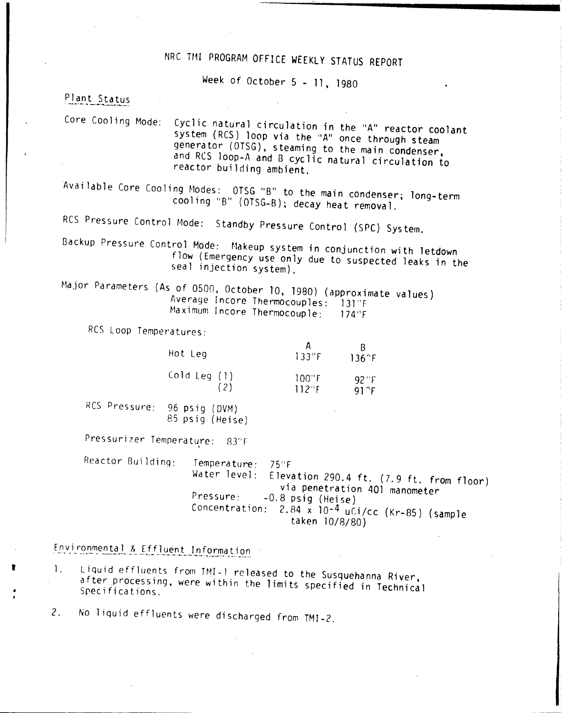# NRC TMI PROGRAM OFFICE WEEKLY STATUS REPORT

Week of October 5 - 11, 1980

# Plant Status

Core Cooling Mode: Cyclic natural circulation in the "A" reactor coolant system (RCS) loop via the "A" once through steam generator (OTSG), steaming to the main condenser, and ReS loop-A and B cyclic natural circulation to reactor building ambient.

Available Core Cooling Modes: OTSG "B" to the main condenser; long-term cooling "B" (OTSG-B); decay heat removal.

RCS Pressure Control Mode: Standby Pressure Control (SPC) System.

Backup Pressure Control Mode: Makeup system in conjunction with letdown flow (Emergency use only due to suspected leaks in the seal injection system).

Major Parameters (As of 0500, October 10, 1980) (approximate values) Average Incore Thermocouples: 131°F Maximum Incore Thermocouple: 174°F

RCS Loop Temperatures:

| Hot Leg      | $133$ °F | $136^\circ F$ |
|--------------|----------|---------------|
| Cold Leg (1) | 100°F    | $92^\circ F$  |
| (2)          | 112°F    | $91^\circ F$  |

RCS Pressure: 96 psig (DVM) 85 psig (Heise)

Pressurizer Temperature: 83°F

Reactor Building: Temperature: 75°F<br>Water level: Eleva Elevation 290.4 ft.  $(7.9 \text{ ft. from floor})$ via penetration 401 manometer Pressure: - 0.8 psig (Heise) Concentration: 2.84 x 10-4 uCi/cc (Kr-85) (sample taken 10/8/80)

Environmental & Effluent Information

, 1, Liquid effluents from TMI-l released to the Susquehanna River, after processing, were within the limits specified in Technical Specifications.

2. No liquid effluents were discharged from TMI-2.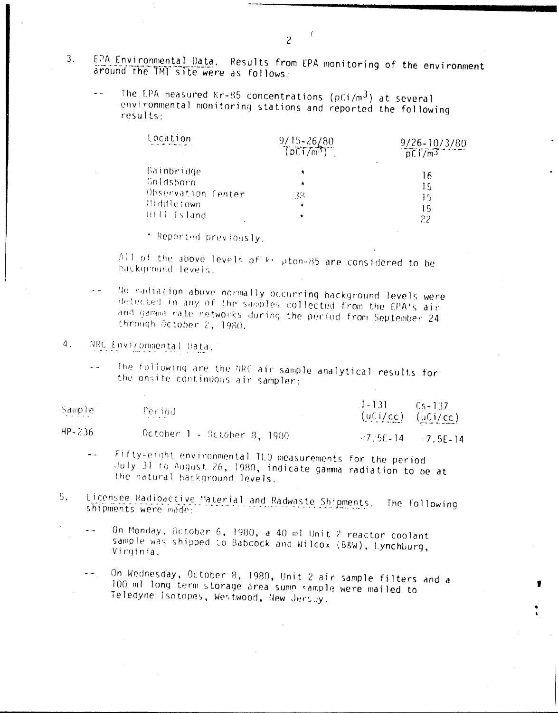- EPA Environmental Data. Results from EPA monitoring of the environment 3. around the TMT site were as follows:
	- The EPA measured Kr-85 concentrations (pCi/m<sup>3</sup>) at several  $\sim$   $\sim$ environmental monitoring stations and reported the following  $results:$

| Location           | $9/15 - 26/80$<br>$(DCT/m^3)$ | $\frac{9/26-10/3/80}{pC1/m^3}$ |
|--------------------|-------------------------------|--------------------------------|
| Bainbridge         | 青                             | 16                             |
| Goldsboro          | $\star$                       | ŢF,                            |
| Observation Center | 38                            | 15                             |
| Widdletown         | ۰                             | 15                             |
| Hill Island        | ۰                             | 22                             |

\* Reported previously.

All of the above levels of ki pton-85 are considered to be background levels.

No radiation above normally occurring background levels were  $\ddot{\phantom{0}}$ detected in any of the samples collected from the EPA's air and gamma rate networks during the period from September 24 through October 2, 1980.

#### $4.$ NRC Environmental Data.

The following are the NRC air sample analytical results for  $\omega/\omega$ the onsite continuous air sampler:

| Sample | Period                          | $1 - 131$<br>$(uCi/cc)$ $(uCi/cc)$ | $Cs-137$                          |
|--------|---------------------------------|------------------------------------|-----------------------------------|
| HP-236 | - October 1 - October 8, 1980 - |                                    | $\sqrt{7.5E-14}$ $\sqrt{7.5E-14}$ |

- Fifty-eight environmental ILD measurements for the period  $\ddot{\phantom{a}}$ July 31 to August 26, 1980, indicate gamma radiation to be at the natural background levels.
- Licensee Radioactive Material and Radwaste Shipments. The following  $5.$ shipments were made:
	- On Monday, October 6, 1980, a 40 ml Unit 2 reactor coolant  $\ddot{\phantom{a}}$ sample was shipped to Babcock and Wilcox (B&W), Lynchburg, Virginia.
	- On Wednesday, October 8, 1980, Unit 2 air sample filters and a الأنفريس 100 ml long term storage area sump sample were mailed to Teledyne Isotopes, Westwood, New Jersey.

 $\overline{c}$ 

 $\left($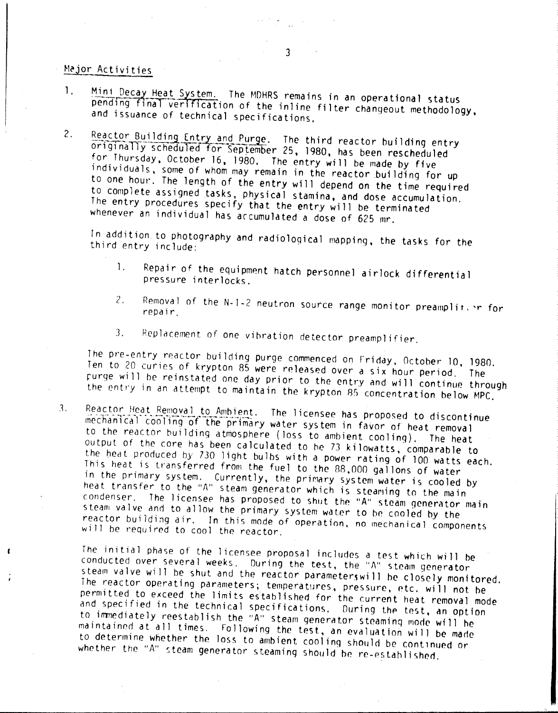## Major Activities

- Mini Decay Heat System. The MDHRS remains in an operational status  $\mathbf{1}$ . pending final verification of the inline filter changeout methodology, and issuance of technical specifications.
- $2.$ Reactor Building Entry and Purge. The third reactor building entry originally scheduled for September 25, 1980, has been rescheduled for Thursday, October 16, 1980. The entry will be made by five individuals, some of whom may remain in the reactor building for up to one hour. The length of the entry will depend on the time required to complete assigned tasks, physical stamina, and dose accumulation. The entry procedures specify that the entry will be terminated whenever an individual has accumulated a dose of 625 mr.

In addition to photography and radiological mapping, the tasks for the third entry include:

- Repair of the equipment hatch personnel airlock differential 1. pressure interlocks.
- Removal of the N-I-2 neutron source range monitor preamplifer for  $2.$ repair.
- Replacement of one vibration detector preamplifier.  $3_{-}$

The pre-entry reactor building purge commenced on Friday, October 10, 1980. Ten to 20 curies of krypton 85 were released over a six hour period. The purge will be reinstated one day prior to the entry and will continue through the entry in an attempt to maintain the krypton 85 concentration below MPC.

Reactor Heat Removal to Ambient. The licensee has proposed to discontinue 3. mechanical cooling of the primary water system in favor of heat removal to the reactor building atmosphere (loss to ambient cooling). output of the core has been calculated to be 73 kilowatts, comparable to The heat the heat produced by 730 light bulbs with a power rating of 100 watts each. This heat is transferred from the fuel to the 88,000 gallons of water in the primary system. Currently, the primary system water is cooled by heat transfer to the "A" steam generator which is steaming to the main condenser. The licensee has proposed to shut the "A" steam generator main steam valve and to allow the primary system water to be cooled by the reactor building air. In this mode of operation, no mechanical components will be required to cool the reactor.

The initial phase of the licensee proposal includes a test which will be conducted over several weeks. During the test, the "A" steam generator steam valve will be shut and the reactor parameterswill be closely monitored. The reactor operating parameters; temperatures, pressure, etc. will not be permitted to exceed the limits established for the current heat removal mode and specified in the technical specifications. During the test, an option to immediately reestablish the "A" steam generator steaming mode will be maintained at all times. Following the test, an evaluation will be made to determine whether the loss to ambient cooling should be continued or whether the "A" steam generator steaming should be re-established.